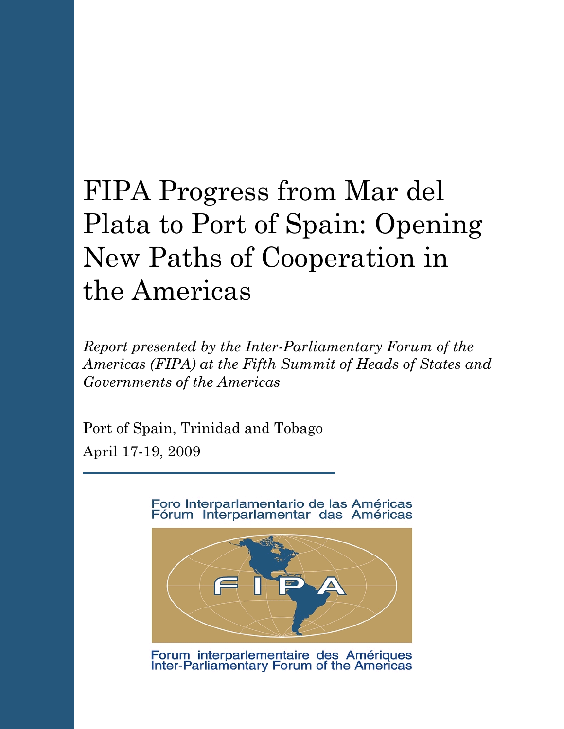# FIPA Progress from Mar del Plata to Port of Spain: Opening New Paths of Cooperation in the Americas

*Report presented by the Inter-Parliamentary Forum of the Americas (FIPA) at the Fifth Summit of Heads of States and Governments of the Americas*

Port of Spain, Trinidad and Tobago April 17-19, 2009

> Foro Interparlamentario de las Américas Fórum Interparlamentar das Américas



Forum interparlementaire des Amériques<br>Inter-Parliamentary Forum of the Americas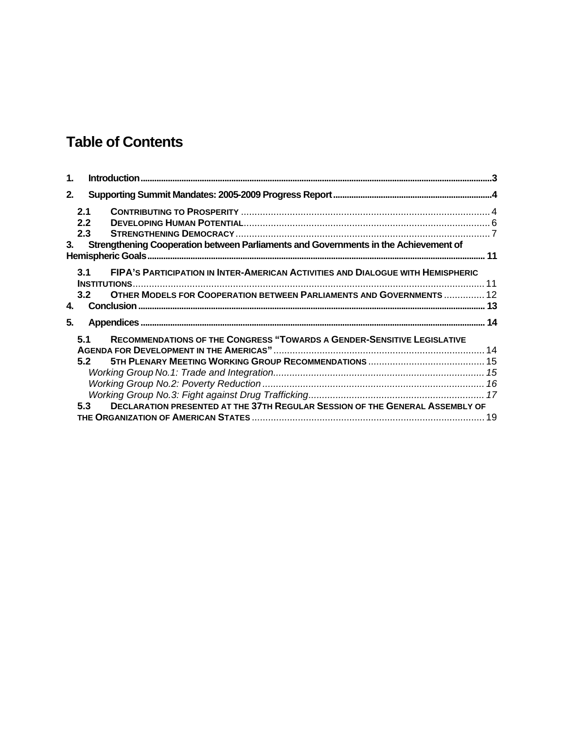## **Table of Contents**

| $\mathbf{1}$ .                                                                                        |                                                                                            |                                                                                 |  |
|-------------------------------------------------------------------------------------------------------|--------------------------------------------------------------------------------------------|---------------------------------------------------------------------------------|--|
| 2.                                                                                                    |                                                                                            |                                                                                 |  |
|                                                                                                       | 2.1                                                                                        |                                                                                 |  |
|                                                                                                       | 2.2                                                                                        |                                                                                 |  |
|                                                                                                       | 2.3                                                                                        |                                                                                 |  |
| Strengthening Cooperation between Parliaments and Governments in the Achievement of<br>3 <sub>1</sub> |                                                                                            |                                                                                 |  |
|                                                                                                       | 3.1<br><b>INSTITUTIONS</b>                                                                 | FIPA'S PARTICIPATION IN INTER-AMERICAN ACTIVITIES AND DIALOGUE WITH HEMISPHERIC |  |
| 4.                                                                                                    | 3.2                                                                                        | <b>OTHER MODELS FOR COOPERATION BETWEEN PARLIAMENTS AND GOVERNMENTS  12</b>     |  |
| 5.                                                                                                    |                                                                                            |                                                                                 |  |
|                                                                                                       | 5.1                                                                                        | <b>RECOMMENDATIONS OF THE CONGRESS "TOWARDS A GENDER-SENSITIVE LEGISLATIVE</b>  |  |
|                                                                                                       |                                                                                            |                                                                                 |  |
|                                                                                                       | 5.2                                                                                        |                                                                                 |  |
|                                                                                                       |                                                                                            |                                                                                 |  |
|                                                                                                       |                                                                                            |                                                                                 |  |
|                                                                                                       |                                                                                            |                                                                                 |  |
|                                                                                                       | <b>DECLARATION PRESENTED AT THE 37TH REGULAR SESSION OF THE GENERAL ASSEMBLY OF</b><br>5.3 |                                                                                 |  |
|                                                                                                       |                                                                                            |                                                                                 |  |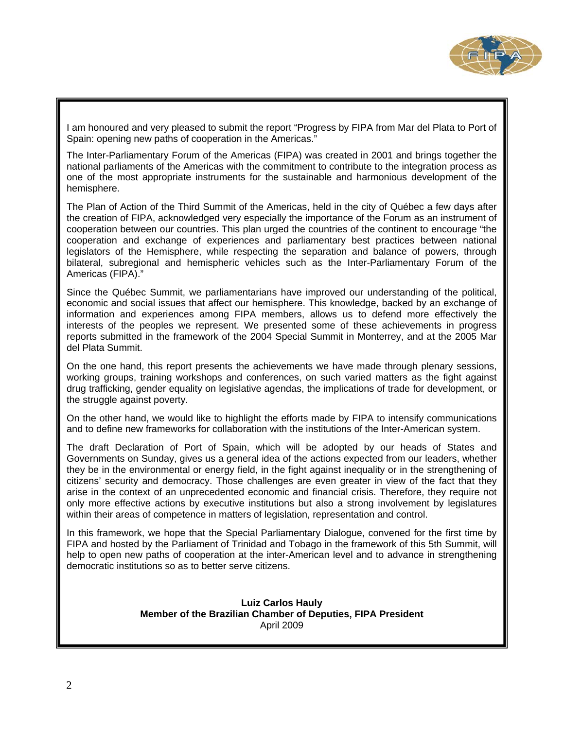

I am honoured and very pleased to submit the report "Progress by FIPA from Mar del Plata to Port of Spain: opening new paths of cooperation in the Americas."

The Inter-Parliamentary Forum of the Americas (FIPA) was created in 2001 and brings together the national parliaments of the Americas with the commitment to contribute to the integration process as one of the most appropriate instruments for the sustainable and harmonious development of the hemisphere.

The Plan of Action of the Third Summit of the Americas, held in the city of Québec a few days after the creation of FIPA, acknowledged very especially the importance of the Forum as an instrument of cooperation between our countries. This plan urged the countries of the continent to encourage "the cooperation and exchange of experiences and parliamentary best practices between national legislators of the Hemisphere, while respecting the separation and balance of powers, through bilateral, subregional and hemispheric vehicles such as the Inter-Parliamentary Forum of the Americas (FIPA)."

Since the Québec Summit, we parliamentarians have improved our understanding of the political, economic and social issues that affect our hemisphere. This knowledge, backed by an exchange of information and experiences among FIPA members, allows us to defend more effectively the interests of the peoples we represent. We presented some of these achievements in progress reports submitted in the framework of the 2004 Special Summit in Monterrey, and at the 2005 Mar del Plata Summit.

On the one hand, this report presents the achievements we have made through plenary sessions, working groups, training workshops and conferences, on such varied matters as the fight against drug trafficking, gender equality on legislative agendas, the implications of trade for development, or the struggle against poverty.

On the other hand, we would like to highlight the efforts made by FIPA to intensify communications and to define new frameworks for collaboration with the institutions of the Inter-American system.

The draft Declaration of Port of Spain, which will be adopted by our heads of States and Governments on Sunday, gives us a general idea of the actions expected from our leaders, whether they be in the environmental or energy field, in the fight against inequality or in the strengthening of citizens' security and democracy. Those challenges are even greater in view of the fact that they arise in the context of an unprecedented economic and financial crisis. Therefore, they require not only more effective actions by executive institutions but also a strong involvement by legislatures within their areas of competence in matters of legislation, representation and control.

In this framework, we hope that the Special Parliamentary Dialogue, convened for the first time by FIPA and hosted by the Parliament of Trinidad and Tobago in the framework of this 5th Summit, will help to open new paths of cooperation at the inter-American level and to advance in strengthening democratic institutions so as to better serve citizens.

### **Luiz Carlos Hauly Member of the Brazilian Chamber of Deputies, FIPA President**  April 2009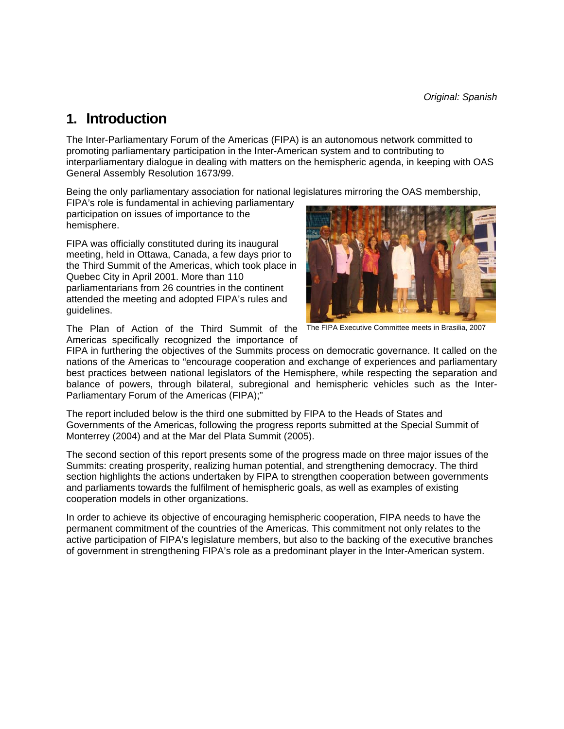*Original: Spanish* 

### **1. Introduction**

The Inter-Parliamentary Forum of the Americas (FIPA) is an autonomous network committed to promoting parliamentary participation in the Inter-American system and to contributing to interparliamentary dialogue in dealing with matters on the hemispheric agenda, in keeping with OAS General Assembly Resolution 1673/99.

Being the only parliamentary association for national legislatures mirroring the OAS membership,

FIPA's role is fundamental in achieving parliamentary participation on issues of importance to the hemisphere.

FIPA was officially constituted during its inaugural meeting, held in Ottawa, Canada, a few days prior to the Third Summit of the Americas, which took place in Quebec City in April 2001. More than 110 parliamentarians from 26 countries in the continent attended the meeting and adopted FIPA's rules and guidelines.

The Plan of Action of the Third Summit of the Americas specifically recognized the importance of



The FIPA Executive Committee meets in Brasilia, 2007

FIPA in furthering the objectives of the Summits process on democratic governance. It called on the nations of the Americas to "encourage cooperation and exchange of experiences and parliamentary best practices between national legislators of the Hemisphere, while respecting the separation and balance of powers, through bilateral, subregional and hemispheric vehicles such as the Inter-Parliamentary Forum of the Americas (FIPA);"

The report included below is the third one submitted by FIPA to the Heads of States and Governments of the Americas, following the progress reports submitted at the Special Summit of Monterrey (2004) and at the Mar del Plata Summit (2005).

The second section of this report presents some of the progress made on three major issues of the Summits: creating prosperity, realizing human potential, and strengthening democracy. The third section highlights the actions undertaken by FIPA to strengthen cooperation between governments and parliaments towards the fulfilment of hemispheric goals, as well as examples of existing cooperation models in other organizations.

In order to achieve its objective of encouraging hemispheric cooperation, FIPA needs to have the permanent commitment of the countries of the Americas. This commitment not only relates to the active participation of FIPA's legislature members, but also to the backing of the executive branches of government in strengthening FIPA's role as a predominant player in the Inter-American system.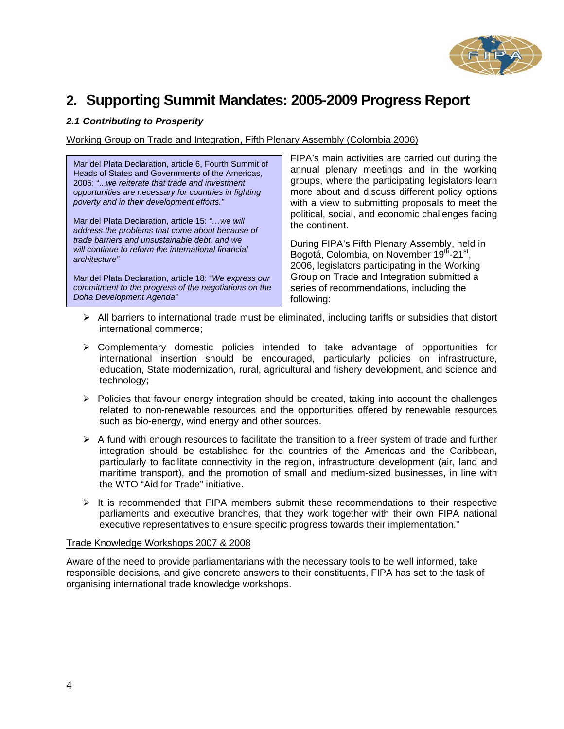

### **2. Supporting Summit Mandates: 2005-2009 Progress Report**

### *2.1 Contributing to Prosperity*

Working Group on Trade and Integration, Fifth Plenary Assembly (Colombia 2006)

Mar del Plata Declaration, article 6, Fourth Summit of Heads of States and Governments of the Americas, 2005: "...*we reiterate that trade and investment opportunities are necessary for countries in fighting poverty and in their development efforts."* 

Mar del Plata Declaration, article 15: *"…we will address the problems that come about because of trade barriers and unsustainable debt, and we will continue to reform the international financial architecture"* 

Mar del Plata Declaration, article 18: "*We express our commitment to the progress of the negotiations on the Doha Development Agenda"* 

FIPA's main activities are carried out during the annual plenary meetings and in the working groups, where the participating legislators learn more about and discuss different policy options with a view to submitting proposals to meet the political, social, and economic challenges facing the continent.

During FIPA's Fifth Plenary Assembly, held in Bogotá, Colombia, on November 19th-21st, 2006, legislators participating in the Working Group on Trade and Integration submitted a series of recommendations, including the following:

- $\triangleright$  All barriers to international trade must be eliminated, including tariffs or subsidies that distort international commerce;
- $\triangleright$  Complementary domestic policies intended to take advantage of opportunities for international insertion should be encouraged, particularly policies on infrastructure, education, State modernization, rural, agricultural and fishery development, and science and technology;
- ¾ Policies that favour energy integration should be created, taking into account the challenges related to non-renewable resources and the opportunities offered by renewable resources such as bio-energy, wind energy and other sources.
- $\triangleright$  A fund with enough resources to facilitate the transition to a freer system of trade and further integration should be established for the countries of the Americas and the Caribbean, particularly to facilitate connectivity in the region, infrastructure development (air, land and maritime transport), and the promotion of small and medium-sized businesses, in line with the WTO "Aid for Trade" initiative.
- $\triangleright$  It is recommended that FIPA members submit these recommendations to their respective parliaments and executive branches, that they work together with their own FIPA national executive representatives to ensure specific progress towards their implementation."

### Trade Knowledge Workshops 2007 & 2008

Aware of the need to provide parliamentarians with the necessary tools to be well informed, take responsible decisions, and give concrete answers to their constituents, FIPA has set to the task of organising international trade knowledge workshops.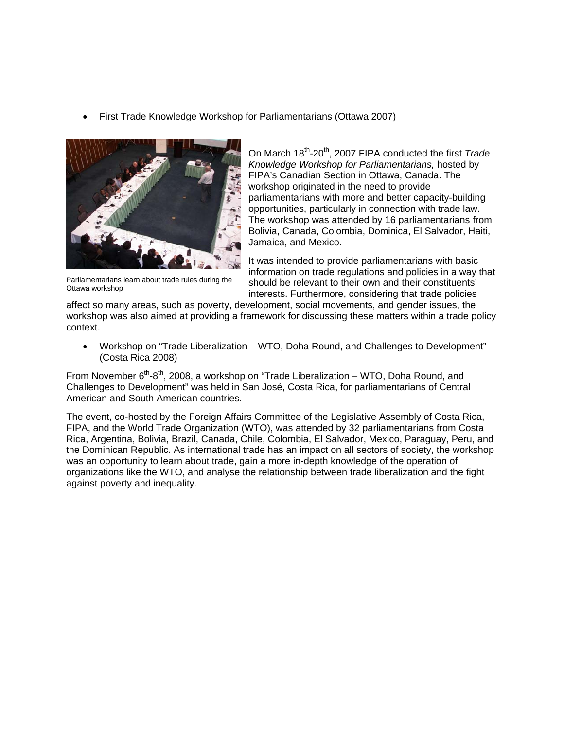• First Trade Knowledge Workshop for Parliamentarians (Ottawa 2007)



Parliamentarians learn about trade rules during the Ottawa workshop

On March 18<sup>th</sup>-20<sup>th</sup>, 2007 FIPA conducted the first *Trade Knowledge Workshop for Parliamentarians,* hosted by FIPA's Canadian Section in Ottawa, Canada. The workshop originated in the need to provide parliamentarians with more and better capacity-building opportunities, particularly in connection with trade law. The workshop was attended by 16 parliamentarians from Bolivia, Canada, Colombia, Dominica, El Salvador, Haiti, Jamaica, and Mexico.

It was intended to provide parliamentarians with basic information on trade regulations and policies in a way that should be relevant to their own and their constituents' interests. Furthermore, considering that trade policies

affect so many areas, such as poverty, development, social movements, and gender issues, the workshop was also aimed at providing a framework for discussing these matters within a trade policy context.

• Workshop on "Trade Liberalization – WTO, Doha Round, and Challenges to Development" (Costa Rica 2008)

From November  $6<sup>th</sup> - 8<sup>th</sup>$ , 2008, a workshop on "Trade Liberalization – WTO, Doha Round, and Challenges to Development" was held in San José, Costa Rica, for parliamentarians of Central American and South American countries.

The event, co-hosted by the Foreign Affairs Committee of the Legislative Assembly of Costa Rica, FIPA, and the World Trade Organization (WTO), was attended by 32 parliamentarians from Costa Rica, Argentina, Bolivia, Brazil, Canada, Chile, Colombia, El Salvador, Mexico, Paraguay, Peru, and the Dominican Republic. As international trade has an impact on all sectors of society, the workshop was an opportunity to learn about trade, gain a more in-depth knowledge of the operation of organizations like the WTO, and analyse the relationship between trade liberalization and the fight against poverty and inequality.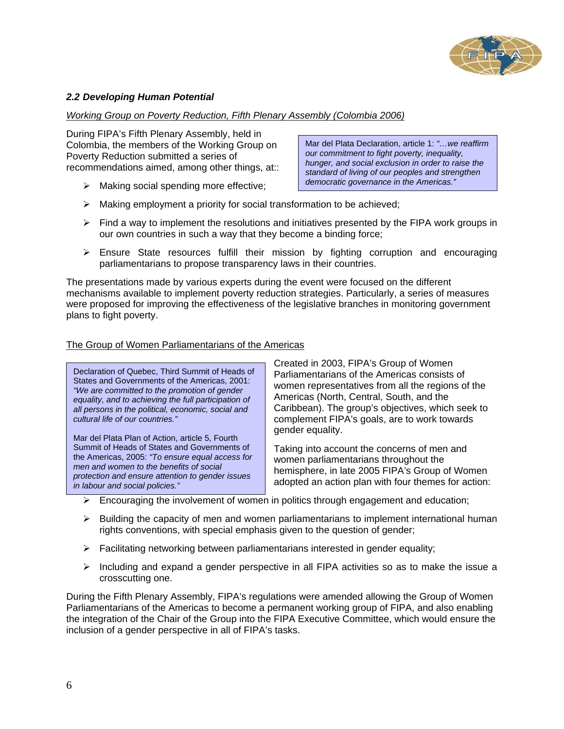

### *2.2 Developing Human Potential*

### *Working Group on Poverty Reduction, Fifth Plenary Assembly (Colombia 2006)*

During FIPA's Fifth Plenary Assembly, held in Colombia, the members of the Working Group on Poverty Reduction submitted a series of recommendations aimed, among other things, at::

 $\triangleright$  Making social spending more effective;

Mar del Plata Declaration, article 1: *"…we reaffirm our commitment to fight poverty, inequality, hunger, and social exclusion in order to raise the standard of living of our peoples and strengthen democratic governance in the Americas."* 

- $\triangleright$  Making employment a priority for social transformation to be achieved;
- $\triangleright$  Find a way to implement the resolutions and initiatives presented by the FIPA work groups in our own countries in such a way that they become a binding force;
- ¾ Ensure State resources fulfill their mission by fighting corruption and encouraging parliamentarians to propose transparency laws in their countries.

The presentations made by various experts during the event were focused on the different mechanisms available to implement poverty reduction strategies. Particularly, a series of measures were proposed for improving the effectiveness of the legislative branches in monitoring government plans to fight poverty.

### The Group of Women Parliamentarians of the Americas

Declaration of Quebec, Third Summit of Heads of States and Governments of the Americas, 2001: *"We are committed to the promotion of gender equality, and to achieving the full participation of all persons in the political, economic, social and cultural life of our countries."* 

Mar del Plata Plan of Action, article 5, Fourth Summit of Heads of States and Governments of the Americas, 2005: *"To ensure equal access for men and women to the benefits of social protection and ensure attention to gender issues in labour and social policies."* 

Created in 2003, FIPA's Group of Women Parliamentarians of the Americas consists of women representatives from all the regions of the Americas (North, Central, South, and the Caribbean). The group's objectives, which seek to complement FIPA's goals, are to work towards gender equality.

Taking into account the concerns of men and women parliamentarians throughout the hemisphere, in late 2005 FIPA's Group of Women adopted an action plan with four themes for action:

- $\triangleright$  Encouraging the involvement of women in politics through engagement and education;
- $\triangleright$  Building the capacity of men and women parliamentarians to implement international human rights conventions, with special emphasis given to the question of gender;
- $\triangleright$  Facilitating networking between parliamentarians interested in gender equality;
- $\triangleright$  Including and expand a gender perspective in all FIPA activities so as to make the issue a crosscutting one.

During the Fifth Plenary Assembly, FIPA's regulations were amended allowing the Group of Women Parliamentarians of the Americas to become a permanent working group of FIPA, and also enabling the integration of the Chair of the Group into the FIPA Executive Committee, which would ensure the inclusion of a gender perspective in all of FIPA's tasks.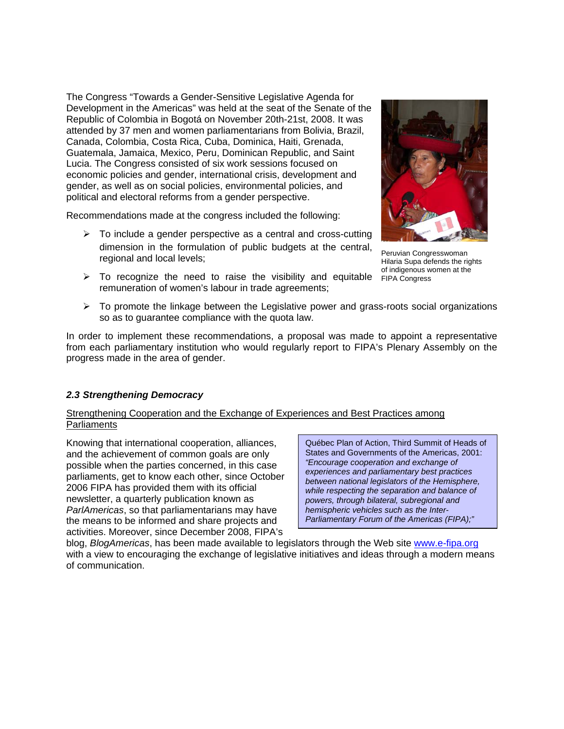The Congress "Towards a Gender-Sensitive Legislative Agenda for Development in the Americas" was held at the seat of the Senate of the Republic of Colombia in Bogotá on November 20th-21st, 2008. It was attended by 37 men and women parliamentarians from Bolivia, Brazil, Canada, Colombia, Costa Rica, Cuba, Dominica, Haiti, Grenada, Guatemala, Jamaica, Mexico, Peru, Dominican Republic, and Saint Lucia. The Congress consisted of six work sessions focused on economic policies and gender, international crisis, development and gender, as well as on social policies, environmental policies, and political and electoral reforms from a gender perspective.

Recommendations made at the congress included the following:

- $\triangleright$  To include a gender perspective as a central and cross-cutting dimension in the formulation of public budgets at the central, regional and local levels;
- $\triangleright$  To recognize the need to raise the visibility and equitable remuneration of women's labour in trade agreements;



Peruvian Congresswoman Hilaria Supa defends the rights of indigenous women at the FIPA Congress

 $\triangleright$  To promote the linkage between the Legislative power and grass-roots social organizations so as to guarantee compliance with the quota law.

In order to implement these recommendations, a proposal was made to appoint a representative from each parliamentary institution who would regularly report to FIPA's Plenary Assembly on the progress made in the area of gender.

### *2.3 Strengthening Democracy*

### Strengthening Cooperation and the Exchange of Experiences and Best Practices among **Parliaments**

Knowing that international cooperation, alliances, and the achievement of common goals are only possible when the parties concerned, in this case parliaments, get to know each other, since October 2006 FIPA has provided them with its official newsletter, a quarterly publication known as *ParlAmericas*, so that parliamentarians may have the means to be informed and share projects and activities. Moreover, since December 2008, FIPA's

Québec Plan of Action, Third Summit of Heads of States and Governments of the Americas, 2001: *"Encourage cooperation and exchange of experiences and parliamentary best practices between national legislators of the Hemisphere, while respecting the separation and balance of powers, through bilateral, subregional and hemispheric vehicles such as the Inter-Parliamentary Forum of the Americas (FIPA);"*

blog, *BlogAmericas*, has been made available to legislators through the Web site www.e-fipa.org with a view to encouraging the exchange of legislative initiatives and ideas through a modern means of communication.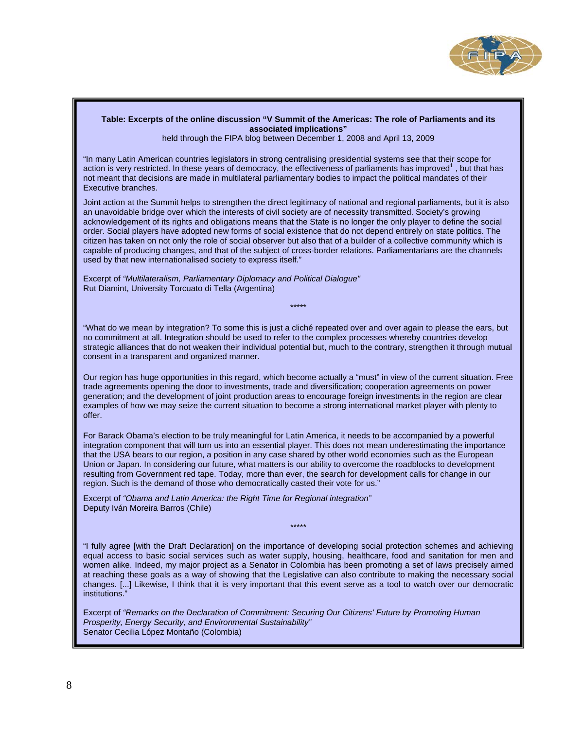

#### **Table: Excerpts of the online discussion "V Summit of the Americas: The role of Parliaments and its associated implications"**

held through the FIPA blog between December 1, 2008 and April 13, 2009

"In many Latin American countries legislators in strong centralising presidential systems see that their scope for action is very restricted. In these years of democracy, the effectiveness of parliaments has improved<sup>1</sup>, but that has not meant that decisions are made in multilateral parliamentary bodies to impact the political mandates of their Executive branches.

Joint action at the Summit helps to strengthen the direct legitimacy of national and regional parliaments, but it is also an unavoidable bridge over which the interests of civil society are of necessity transmitted. Society's growing acknowledgement of its rights and obligations means that the State is no longer the only player to define the social order. Social players have adopted new forms of social existence that do not depend entirely on state politics. The citizen has taken on not only the role of social observer but also that of a builder of a collective community which is capable of producing changes, and that of the subject of cross-border relations. Parliamentarians are the channels used by that new internationalised society to express itself."

Excerpt of *"Multilateralism, Parliamentary Diplomacy and Political Dialogue"*  Rut Diamint, University Torcuato di Tella (Argentina)

"What do we mean by integration? To some this is just a cliché repeated over and over again to please the ears, but no commitment at all. Integration should be used to refer to the complex processes whereby countries develop strategic alliances that do not weaken their individual potential but, much to the contrary, strengthen it through mutual consent in a transparent and organized manner.

\*\*\*\*\*

Our region has huge opportunities in this regard, which become actually a "must" in view of the current situation. Free trade agreements opening the door to investments, trade and diversification; cooperation agreements on power generation; and the development of joint production areas to encourage foreign investments in the region are clear examples of how we may seize the current situation to become a strong international market player with plenty to offer.

For Barack Obama's election to be truly meaningful for Latin America, it needs to be accompanied by a powerful integration component that will turn us into an essential player. This does not mean underestimating the importance that the USA bears to our region, a position in any case shared by other world economies such as the European Union or Japan. In considering our future, what matters is our ability to overcome the roadblocks to development resulting from Government red tape. Today, more than ever, the search for development calls for change in our region. Such is the demand of those who democratically casted their vote for us."

Excerpt of *"Obama and Latin America: the Right Time for Regional integration"*  Deputy Iván Moreira Barros (Chile)

"I fully agree [with the Draft Declaration] on the importance of developing social protection schemes and achieving equal access to basic social services such as water supply, housing, healthcare, food and sanitation for men and women alike. Indeed, my major project as a Senator in Colombia has been promoting a set of laws precisely aimed at reaching these goals as a way of showing that the Legislative can also contribute to making the necessary social changes. [...] Likewise, I think that it is very important that this event serve as a tool to watch over our democratic institutions."

\*\*\*\*\*

Excerpt of *"Remarks on the Declaration of Commitment: Securing Our Citizens' Future by Promoting Human Prosperity, Energy Security, and Environmental Sustainability"* Senator Cecilia López Montaño (Colombia)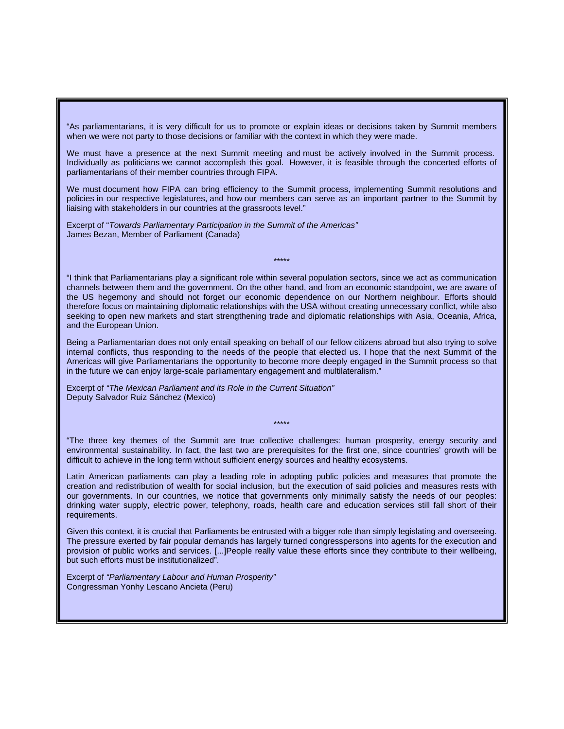"As parliamentarians, it is very difficult for us to promote or explain ideas or decisions taken by Summit members when we were not party to those decisions or familiar with the context in which they were made.

We must have a presence at the next Summit meeting and must be actively involved in the Summit process. Individually as politicians we cannot accomplish this goal. However, it is feasible through the concerted efforts of parliamentarians of their member countries through FIPA.

We must document how FIPA can bring efficiency to the Summit process, implementing Summit resolutions and policies in our respective legislatures, and how our members can serve as an important partner to the Summit by liaising with stakeholders in our countries at the grassroots level."

Excerpt of "*Towards Parliamentary Participation in the Summit of the Americas"* James Bezan, Member of Parliament (Canada)

"I think that Parliamentarians play a significant role within several population sectors, since we act as communication channels between them and the government. On the other hand, and from an economic standpoint, we are aware of the US hegemony and should not forget our economic dependence on our Northern neighbour. Efforts should therefore focus on maintaining diplomatic relationships with the USA without creating unnecessary conflict, while also seeking to open new markets and start strengthening trade and diplomatic relationships with Asia, Oceania, Africa, and the European Union.

\*\*\*\*\*

Being a Parliamentarian does not only entail speaking on behalf of our fellow citizens abroad but also trying to solve internal conflicts, thus responding to the needs of the people that elected us. I hope that the next Summit of the Americas will give Parliamentarians the opportunity to become more deeply engaged in the Summit process so that in the future we can enjoy large-scale parliamentary engagement and multilateralism."

Excerpt of *"The Mexican Parliament and its Role in the Current Situation"* Deputy Salvador Ruiz Sánchez (Mexico)

"The three key themes of the Summit are true collective challenges: human prosperity, energy security and environmental sustainability. In fact, the last two are prerequisites for the first one, since countries' growth will be difficult to achieve in the long term without sufficient energy sources and healthy ecosystems.

\*\*\*\*\*

Latin American parliaments can play a leading role in adopting public policies and measures that promote the creation and redistribution of wealth for social inclusion, but the execution of said policies and measures rests with our governments. In our countries, we notice that governments only minimally satisfy the needs of our peoples: drinking water supply, electric power, telephony, roads, health care and education services still fall short of their requirements.

Given this context, it is crucial that Parliaments be entrusted with a bigger role than simply legislating and overseeing. The pressure exerted by fair popular demands has largely turned congresspersons into agents for the execution and provision of public works and services. [...]People really value these efforts since they contribute to their wellbeing, but such efforts must be institutionalized".

Excerpt of *"Parliamentary Labour and Human Prosperity"*  Congressman Yonhy Lescano Ancieta (Peru)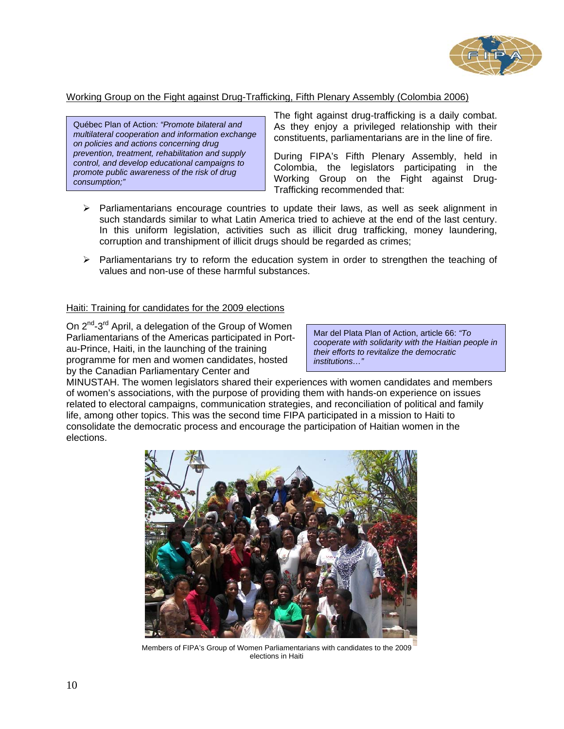

### Working Group on the Fight against Drug-Trafficking, Fifth Plenary Assembly (Colombia 2006)

Québec Plan of Action*: "Promote bilateral and multilateral cooperation and information exchange on policies and actions concerning drug prevention, treatment, rehabilitation and supply control, and develop educational campaigns to promote public awareness of the risk of drug consumption;"* 

The fight against drug-trafficking is a daily combat. As they enjoy a privileged relationship with their constituents, parliamentarians are in the line of fire.

During FIPA's Fifth Plenary Assembly, held in Colombia, the legislators participating in the Working Group on the Fight against Drug-Trafficking recommended that:

- ¾ Parliamentarians encourage countries to update their laws, as well as seek alignment in such standards similar to what Latin America tried to achieve at the end of the last century. In this uniform legislation, activities such as illicit drug trafficking, money laundering, corruption and transhipment of illicit drugs should be regarded as crimes;
- $\triangleright$  Parliamentarians try to reform the education system in order to strengthen the teaching of values and non-use of these harmful substances.

### Haiti: Training for candidates for the 2009 elections

On  $2^{nd}$ -3<sup>rd</sup> April, a delegation of the Group of Women Parliamentarians of the Americas participated in Portau-Prince, Haiti, in the launching of the training programme for men and women candidates, hosted by the Canadian Parliamentary Center and

Mar del Plata Plan of Action, article 66: *"To cooperate with solidarity with the Haitian people in their efforts to revitalize the democratic institutions…"* 

MINUSTAH. The women legislators shared their experiences with women candidates and members of women's associations, with the purpose of providing them with hands-on experience on issues related to electoral campaigns, communication strategies, and reconciliation of political and family life, among other topics. This was the second time FIPA participated in a mission to Haiti to consolidate the democratic process and encourage the participation of Haitian women in the elections.



Members of FIPA's Group of Women Parliamentarians with candidates to the 2009 elections in Haiti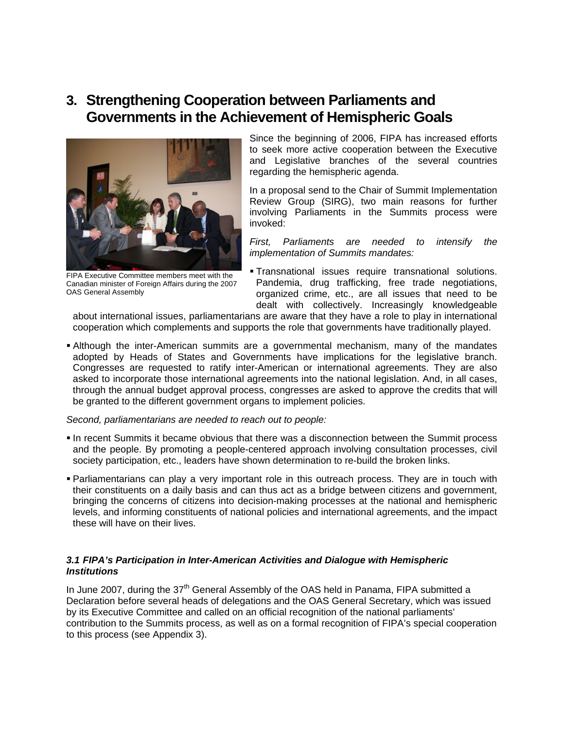### **3. Strengthening Cooperation between Parliaments and Governments in the Achievement of Hemispheric Goals**



FIPA Executive Committee members meet with the Canadian minister of Foreign Affairs during the 2007 OAS General Assembly

Since the beginning of 2006, FIPA has increased efforts to seek more active cooperation between the Executive and Legislative branches of the several countries regarding the hemispheric agenda.

In a proposal send to the Chair of Summit Implementation Review Group (SIRG), two main reasons for further involving Parliaments in the Summits process were invoked:

*First, Parliaments are needed to intensify the implementation of Summits mandates:* 

 Transnational issues require transnational solutions. Pandemia, drug trafficking, free trade negotiations, organized crime, etc., are all issues that need to be dealt with collectively. Increasingly knowledgeable

about international issues, parliamentarians are aware that they have a role to play in international cooperation which complements and supports the role that governments have traditionally played.

 Although the inter-American summits are a governmental mechanism, many of the mandates adopted by Heads of States and Governments have implications for the legislative branch. Congresses are requested to ratify inter-American or international agreements. They are also asked to incorporate those international agreements into the national legislation. And, in all cases, through the annual budget approval process, congresses are asked to approve the credits that will be granted to the different government organs to implement policies.

### *Second, parliamentarians are needed to reach out to people:*

- **In recent Summits it became obvious that there was a disconnection between the Summit process** and the people. By promoting a people-centered approach involving consultation processes, civil society participation, etc., leaders have shown determination to re-build the broken links.
- Parliamentarians can play a very important role in this outreach process. They are in touch with their constituents on a daily basis and can thus act as a bridge between citizens and government, bringing the concerns of citizens into decision-making processes at the national and hemispheric levels, and informing constituents of national policies and international agreements, and the impact these will have on their lives.

### *3.1 FIPA's Participation in Inter-American Activities and Dialogue with Hemispheric Institutions*

In June 2007, during the  $37<sup>th</sup>$  General Assembly of the OAS held in Panama, FIPA submitted a Declaration before several heads of delegations and the OAS General Secretary, which was issued by its Executive Committee and called on an official recognition of the national parliaments' contribution to the Summits process, as well as on a formal recognition of FIPA's special cooperation to this process (see Appendix 3).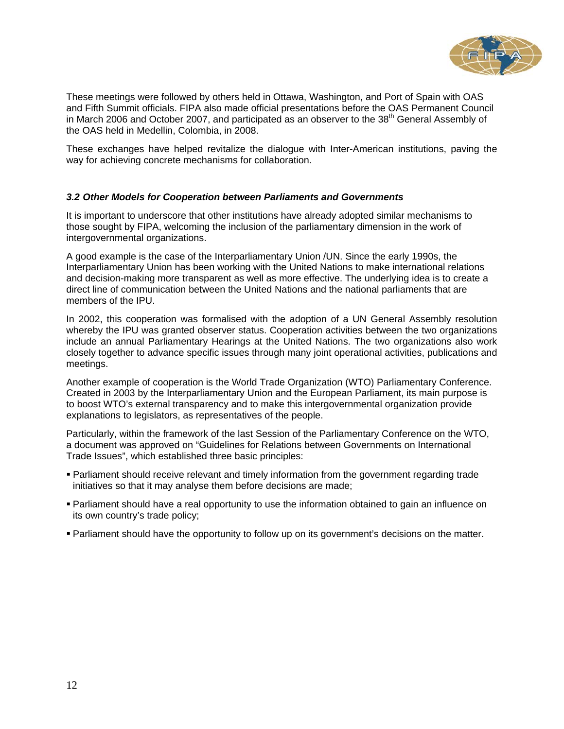

These meetings were followed by others held in Ottawa, Washington, and Port of Spain with OAS and Fifth Summit officials. FIPA also made official presentations before the OAS Permanent Council in March 2006 and October 2007, and participated as an observer to the  $38<sup>th</sup>$  General Assembly of the OAS held in Medellin, Colombia, in 2008.

These exchanges have helped revitalize the dialogue with Inter-American institutions, paving the way for achieving concrete mechanisms for collaboration.

### *3.2 Other Models for Cooperation between Parliaments and Governments*

It is important to underscore that other institutions have already adopted similar mechanisms to those sought by FIPA, welcoming the inclusion of the parliamentary dimension in the work of intergovernmental organizations.

A good example is the case of the Interparliamentary Union /UN. Since the early 1990s, the Interparliamentary Union has been working with the United Nations to make international relations and decision-making more transparent as well as more effective. The underlying idea is to create a direct line of communication between the United Nations and the national parliaments that are members of the IPU.

In 2002, this cooperation was formalised with the adoption of a UN General Assembly resolution whereby the IPU was granted observer status. Cooperation activities between the two organizations include an annual Parliamentary Hearings at the United Nations. The two organizations also work closely together to advance specific issues through many joint operational activities, publications and meetings.

Another example of cooperation is the World Trade Organization (WTO) Parliamentary Conference. Created in 2003 by the Interparliamentary Union and the European Parliament, its main purpose is to boost WTO's external transparency and to make this intergovernmental organization provide explanations to legislators, as representatives of the people.

Particularly, within the framework of the last Session of the Parliamentary Conference on the WTO, a document was approved on "Guidelines for Relations between Governments on International Trade Issues", which established three basic principles:

- Parliament should receive relevant and timely information from the government regarding trade initiatives so that it may analyse them before decisions are made;
- Parliament should have a real opportunity to use the information obtained to gain an influence on its own country's trade policy;
- Parliament should have the opportunity to follow up on its government's decisions on the matter.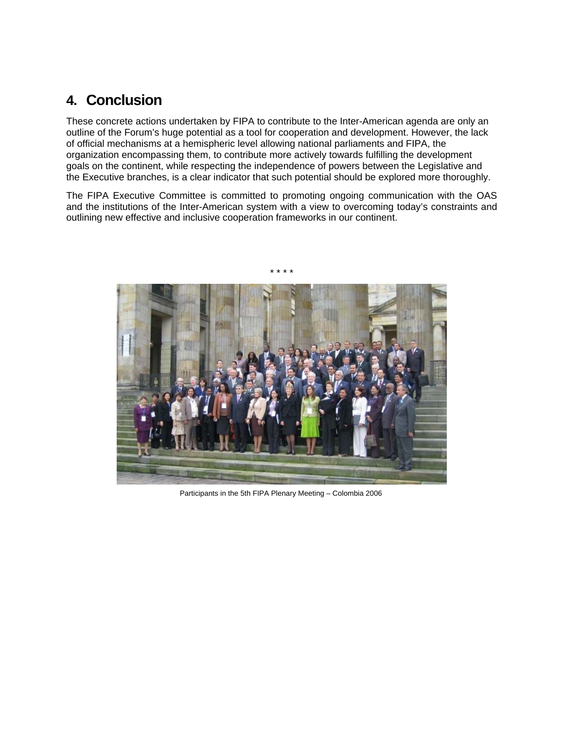### **4. Conclusion**

These concrete actions undertaken by FIPA to contribute to the Inter-American agenda are only an outline of the Forum's huge potential as a tool for cooperation and development. However, the lack of official mechanisms at a hemispheric level allowing national parliaments and FIPA, the organization encompassing them, to contribute more actively towards fulfilling the development goals on the continent, while respecting the independence of powers between the Legislative and the Executive branches, is a clear indicator that such potential should be explored more thoroughly.

The FIPA Executive Committee is committed to promoting ongoing communication with the OAS and the institutions of the Inter-American system with a view to overcoming today's constraints and outlining new effective and inclusive cooperation frameworks in our continent.

\* \* \* \*



Participants in the 5th FIPA Plenary Meeting – Colombia 2006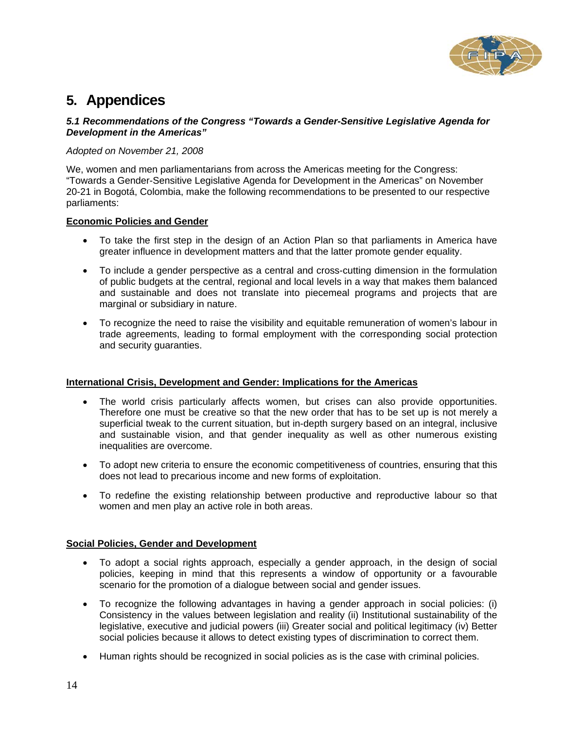

### **5. Appendices**

### *5.1 Recommendations of the Congress "Towards a Gender-Sensitive Legislative Agenda for Development in the Americas"*

### *Adopted on November 21, 2008*

We, women and men parliamentarians from across the Americas meeting for the Congress: "Towards a Gender-Sensitive Legislative Agenda for Development in the Americas" on November 20-21 in Bogotá, Colombia, make the following recommendations to be presented to our respective parliaments:

### **Economic Policies and Gender**

- To take the first step in the design of an Action Plan so that parliaments in America have greater influence in development matters and that the latter promote gender equality.
- To include a gender perspective as a central and cross-cutting dimension in the formulation of public budgets at the central, regional and local levels in a way that makes them balanced and sustainable and does not translate into piecemeal programs and projects that are marginal or subsidiary in nature.
- To recognize the need to raise the visibility and equitable remuneration of women's labour in trade agreements, leading to formal employment with the corresponding social protection and security guaranties.

### **International Crisis, Development and Gender: Implications for the Americas**

- The world crisis particularly affects women, but crises can also provide opportunities. Therefore one must be creative so that the new order that has to be set up is not merely a superficial tweak to the current situation, but in-depth surgery based on an integral, inclusive and sustainable vision, and that gender inequality as well as other numerous existing inequalities are overcome.
- To adopt new criteria to ensure the economic competitiveness of countries, ensuring that this does not lead to precarious income and new forms of exploitation.
- To redefine the existing relationship between productive and reproductive labour so that women and men play an active role in both areas.

### **Social Policies, Gender and Development**

- To adopt a social rights approach, especially a gender approach, in the design of social policies, keeping in mind that this represents a window of opportunity or a favourable scenario for the promotion of a dialogue between social and gender issues.
- To recognize the following advantages in having a gender approach in social policies: (i) Consistency in the values between legislation and reality (ii) Institutional sustainability of the legislative, executive and judicial powers (iii) Greater social and political legitimacy (iv) Better social policies because it allows to detect existing types of discrimination to correct them.
- Human rights should be recognized in social policies as is the case with criminal policies.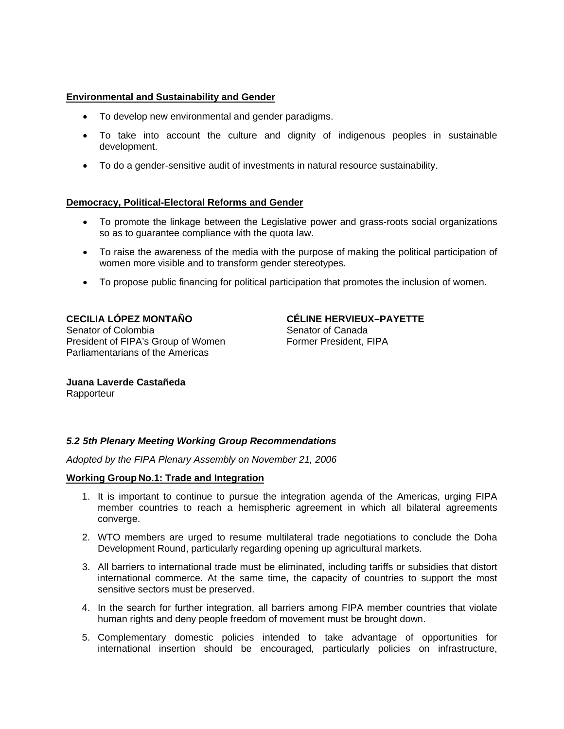### **Environmental and Sustainability and Gender**

- To develop new environmental and gender paradigms.
- To take into account the culture and dignity of indigenous peoples in sustainable development.
- To do a gender-sensitive audit of investments in natural resource sustainability.

### **Democracy, Political-Electoral Reforms and Gender**

- To promote the linkage between the Legislative power and grass-roots social organizations so as to guarantee compliance with the quota law.
- To raise the awareness of the media with the purpose of making the political participation of women more visible and to transform gender stereotypes.
- To propose public financing for political participation that promotes the inclusion of women.

**CECILIA LÓPEZ MONTAÑO**  Senator of Colombia President of FIPA's Group of Women Parliamentarians of the Americas

**CÉLINE HERVIEUX–PAYETTE**  Senator of Canada Former President, FIPA

**Juana Laverde Castañeda Rapporteur** 

### *5.2 5th Plenary Meeting Working Group Recommendations*

*Adopted by the FIPA Plenary Assembly on November 21, 2006* 

### **Working Group No.1: Trade and Integration**

- 1. It is important to continue to pursue the integration agenda of the Americas, urging FIPA member countries to reach a hemispheric agreement in which all bilateral agreements converge.
- 2. WTO members are urged to resume multilateral trade negotiations to conclude the Doha Development Round, particularly regarding opening up agricultural markets.
- 3. All barriers to international trade must be eliminated, including tariffs or subsidies that distort international commerce. At the same time, the capacity of countries to support the most sensitive sectors must be preserved.
- 4. In the search for further integration, all barriers among FIPA member countries that violate human rights and deny people freedom of movement must be brought down.
- 5. Complementary domestic policies intended to take advantage of opportunities for international insertion should be encouraged, particularly policies on infrastructure,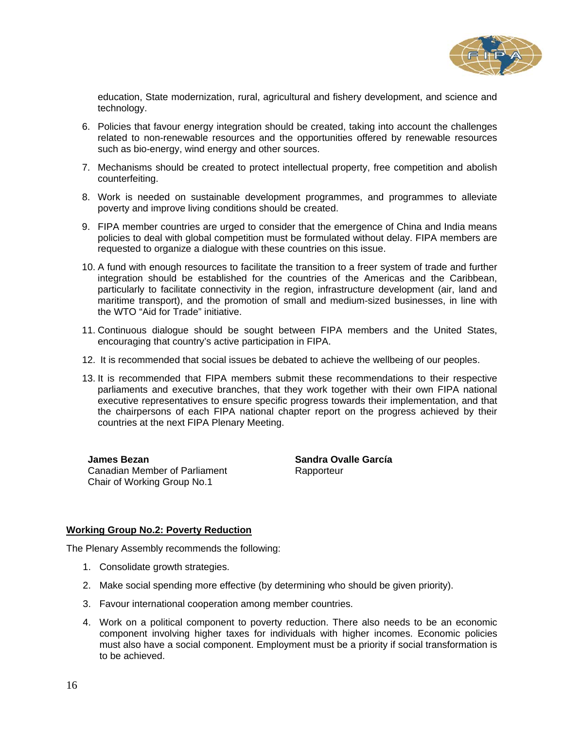

education, State modernization, rural, agricultural and fishery development, and science and technology.

- 6. Policies that favour energy integration should be created, taking into account the challenges related to non-renewable resources and the opportunities offered by renewable resources such as bio-energy, wind energy and other sources.
- 7. Mechanisms should be created to protect intellectual property, free competition and abolish counterfeiting.
- 8. Work is needed on sustainable development programmes, and programmes to alleviate poverty and improve living conditions should be created.
- 9. FIPA member countries are urged to consider that the emergence of China and India means policies to deal with global competition must be formulated without delay. FIPA members are requested to organize a dialogue with these countries on this issue.
- 10. A fund with enough resources to facilitate the transition to a freer system of trade and further integration should be established for the countries of the Americas and the Caribbean, particularly to facilitate connectivity in the region, infrastructure development (air, land and maritime transport), and the promotion of small and medium-sized businesses, in line with the WTO "Aid for Trade" initiative.
- 11. Continuous dialogue should be sought between FIPA members and the United States, encouraging that country's active participation in FIPA.
- 12. It is recommended that social issues be debated to achieve the wellbeing of our peoples.
- 13. It is recommended that FIPA members submit these recommendations to their respective parliaments and executive branches, that they work together with their own FIPA national executive representatives to ensure specific progress towards their implementation, and that the chairpersons of each FIPA national chapter report on the progress achieved by their countries at the next FIPA Plenary Meeting.

**James Bezan**  Canadian Member of Parliament Chair of Working Group No.1

**Sandra Ovalle García Rapporteur** 

### **Working Group No.2: Poverty Reduction**

The Plenary Assembly recommends the following:

- 1. Consolidate growth strategies.
- 2. Make social spending more effective (by determining who should be given priority).
- 3. Favour international cooperation among member countries.
- 4. Work on a political component to poverty reduction. There also needs to be an economic component involving higher taxes for individuals with higher incomes. Economic policies must also have a social component. Employment must be a priority if social transformation is to be achieved.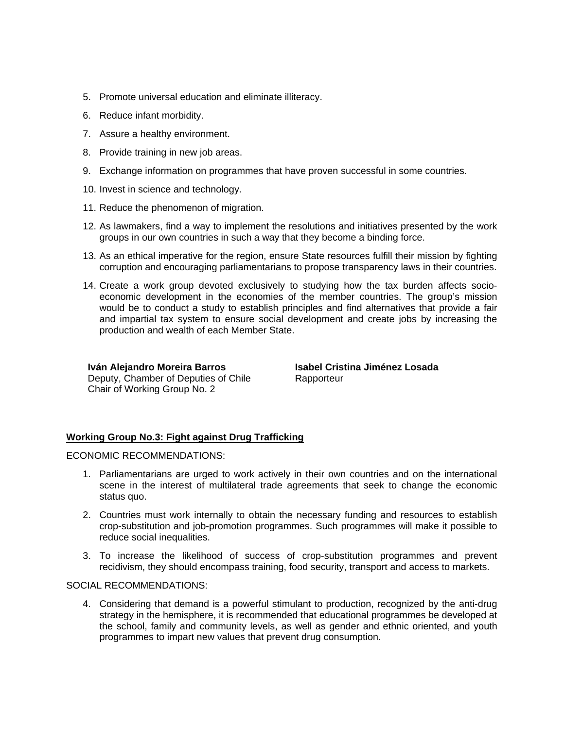- 5. Promote universal education and eliminate illiteracy.
- 6. Reduce infant morbidity.
- 7. Assure a healthy environment.
- 8. Provide training in new job areas.
- 9. Exchange information on programmes that have proven successful in some countries.
- 10. Invest in science and technology.
- 11. Reduce the phenomenon of migration.
- 12. As lawmakers, find a way to implement the resolutions and initiatives presented by the work groups in our own countries in such a way that they become a binding force.
- 13. As an ethical imperative for the region, ensure State resources fulfill their mission by fighting corruption and encouraging parliamentarians to propose transparency laws in their countries.
- 14. Create a work group devoted exclusively to studying how the tax burden affects socioeconomic development in the economies of the member countries. The group's mission would be to conduct a study to establish principles and find alternatives that provide a fair and impartial tax system to ensure social development and create jobs by increasing the production and wealth of each Member State.

**Iván Alejandro Moreira Barros**  Deputy, Chamber of Deputies of Chile Chair of Working Group No. 2

**Isabel Cristina Jiménez Losada**  Rapporteur

### **Working Group No.3: Fight against Drug Trafficking**

ECONOMIC RECOMMENDATIONS:

- 1. Parliamentarians are urged to work actively in their own countries and on the international scene in the interest of multilateral trade agreements that seek to change the economic status quo.
- 2. Countries must work internally to obtain the necessary funding and resources to establish crop-substitution and job-promotion programmes. Such programmes will make it possible to reduce social inequalities.
- 3. To increase the likelihood of success of crop-substitution programmes and prevent recidivism, they should encompass training, food security, transport and access to markets.

SOCIAL RECOMMENDATIONS:

4. Considering that demand is a powerful stimulant to production, recognized by the anti-drug strategy in the hemisphere, it is recommended that educational programmes be developed at the school, family and community levels, as well as gender and ethnic oriented, and youth programmes to impart new values that prevent drug consumption.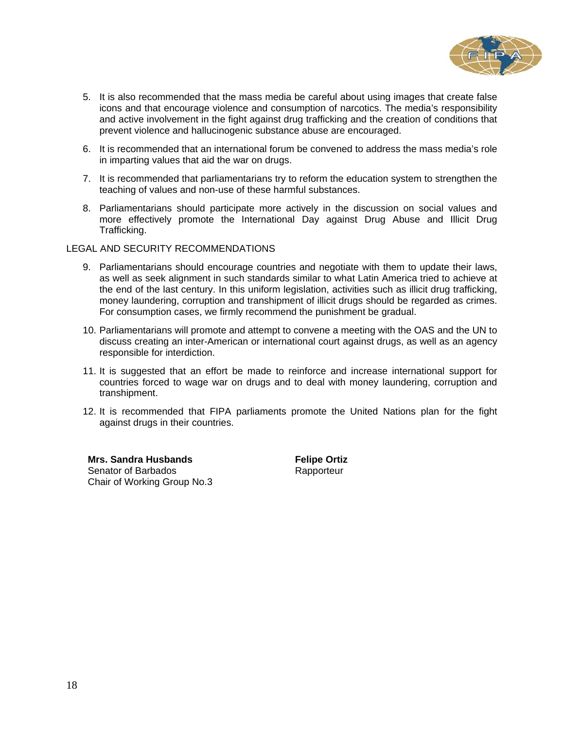

- 5. It is also recommended that the mass media be careful about using images that create false icons and that encourage violence and consumption of narcotics. The media's responsibility and active involvement in the fight against drug trafficking and the creation of conditions that prevent violence and hallucinogenic substance abuse are encouraged.
- 6. It is recommended that an international forum be convened to address the mass media's role in imparting values that aid the war on drugs.
- 7. It is recommended that parliamentarians try to reform the education system to strengthen the teaching of values and non-use of these harmful substances.
- 8. Parliamentarians should participate more actively in the discussion on social values and more effectively promote the International Day against Drug Abuse and Illicit Drug Trafficking.

### LEGAL AND SECURITY RECOMMENDATIONS

- 9. Parliamentarians should encourage countries and negotiate with them to update their laws, as well as seek alignment in such standards similar to what Latin America tried to achieve at the end of the last century. In this uniform legislation, activities such as illicit drug trafficking, money laundering, corruption and transhipment of illicit drugs should be regarded as crimes. For consumption cases, we firmly recommend the punishment be gradual.
- 10. Parliamentarians will promote and attempt to convene a meeting with the OAS and the UN to discuss creating an inter-American or international court against drugs, as well as an agency responsible for interdiction.
- 11. It is suggested that an effort be made to reinforce and increase international support for countries forced to wage war on drugs and to deal with money laundering, corruption and transhipment.
- 12. It is recommended that FIPA parliaments promote the United Nations plan for the fight against drugs in their countries.

**Mrs. Sandra Husbands**  Senator of Barbados Chair of Working Group No.3 **Felipe Ortiz Rapporteur**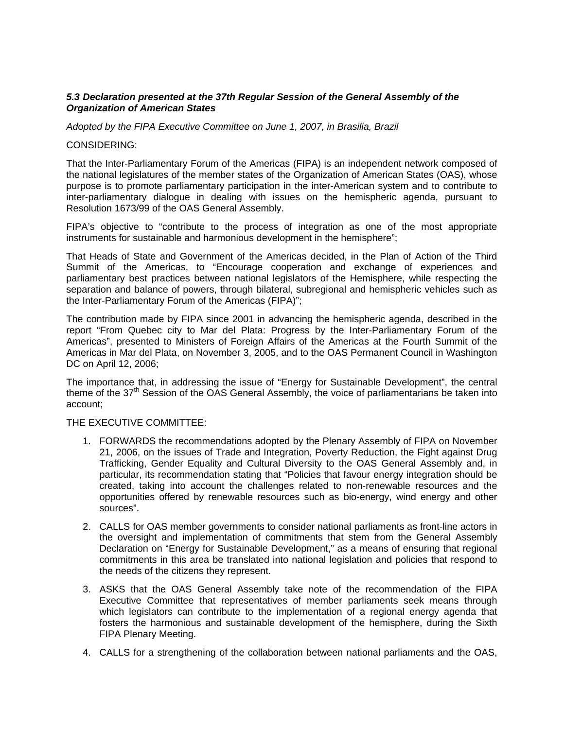### *5.3 Declaration presented at the 37th Regular Session of the General Assembly of the Organization of American States*

*Adopted by the FIPA Executive Committee on June 1, 2007, in Brasilia, Brazil* 

### CONSIDERING:

That the Inter-Parliamentary Forum of the Americas (FIPA) is an independent network composed of the national legislatures of the member states of the Organization of American States (OAS), whose purpose is to promote parliamentary participation in the inter-American system and to contribute to inter-parliamentary dialogue in dealing with issues on the hemispheric agenda, pursuant to Resolution 1673/99 of the OAS General Assembly.

FIPA's objective to "contribute to the process of integration as one of the most appropriate instruments for sustainable and harmonious development in the hemisphere";

That Heads of State and Government of the Americas decided, in the Plan of Action of the Third Summit of the Americas, to "Encourage cooperation and exchange of experiences and parliamentary best practices between national legislators of the Hemisphere, while respecting the separation and balance of powers, through bilateral, subregional and hemispheric vehicles such as the Inter-Parliamentary Forum of the Americas (FIPA)";

The contribution made by FIPA since 2001 in advancing the hemispheric agenda, described in the report "From Quebec city to Mar del Plata: Progress by the Inter-Parliamentary Forum of the Americas", presented to Ministers of Foreign Affairs of the Americas at the Fourth Summit of the Americas in Mar del Plata, on November 3, 2005, and to the OAS Permanent Council in Washington DC on April 12, 2006;

The importance that, in addressing the issue of "Energy for Sustainable Development", the central theme of the 37<sup>th</sup> Session of the OAS General Assembly, the voice of parliamentarians be taken into account;

### THE EXECUTIVE COMMITTEE:

- 1. FORWARDS the recommendations adopted by the Plenary Assembly of FIPA on November 21, 2006, on the issues of Trade and Integration, Poverty Reduction, the Fight against Drug Trafficking, Gender Equality and Cultural Diversity to the OAS General Assembly and, in particular, its recommendation stating that "Policies that favour energy integration should be created, taking into account the challenges related to non-renewable resources and the opportunities offered by renewable resources such as bio-energy, wind energy and other sources".
- 2. CALLS for OAS member governments to consider national parliaments as front-line actors in the oversight and implementation of commitments that stem from the General Assembly Declaration on "Energy for Sustainable Development," as a means of ensuring that regional commitments in this area be translated into national legislation and policies that respond to the needs of the citizens they represent.
- 3. ASKS that the OAS General Assembly take note of the recommendation of the FIPA Executive Committee that representatives of member parliaments seek means through which legislators can contribute to the implementation of a regional energy agenda that fosters the harmonious and sustainable development of the hemisphere, during the Sixth FIPA Plenary Meeting.
- 4. CALLS for a strengthening of the collaboration between national parliaments and the OAS,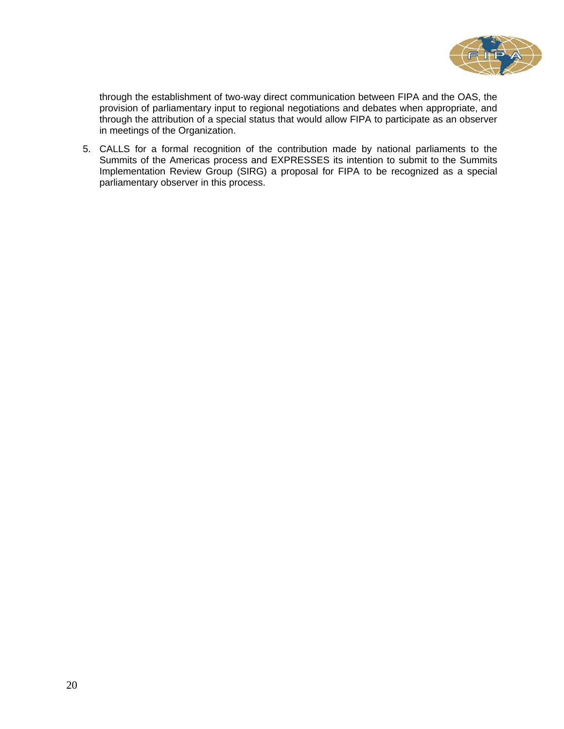

through the establishment of two-way direct communication between FIPA and the OAS, the provision of parliamentary input to regional negotiations and debates when appropriate, and through the attribution of a special status that would allow FIPA to participate as an observer in meetings of the Organization.

5. CALLS for a formal recognition of the contribution made by national parliaments to the Summits of the Americas process and EXPRESSES its intention to submit to the Summits Implementation Review Group (SIRG) a proposal for FIPA to be recognized as a special parliamentary observer in this process.